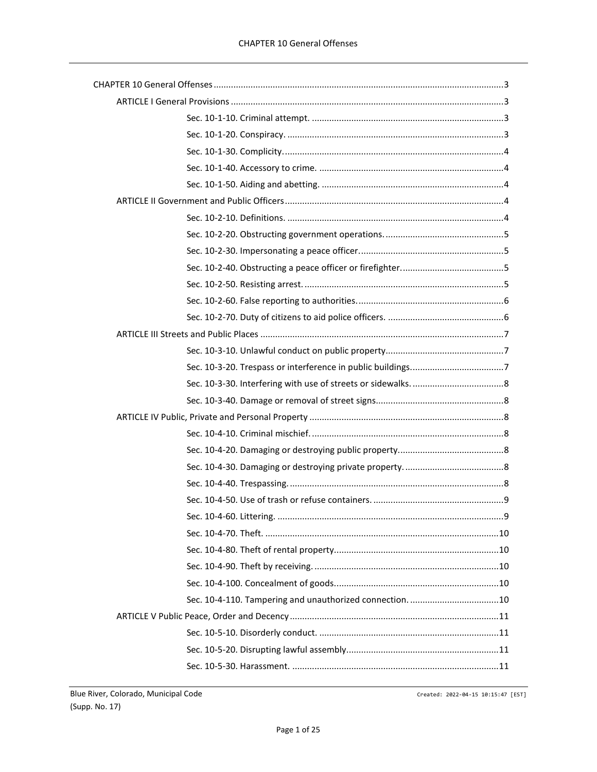| Sec. 10-4-110. Tampering and unauthorized connection. 10 |  |
|----------------------------------------------------------|--|
|                                                          |  |
|                                                          |  |
|                                                          |  |
|                                                          |  |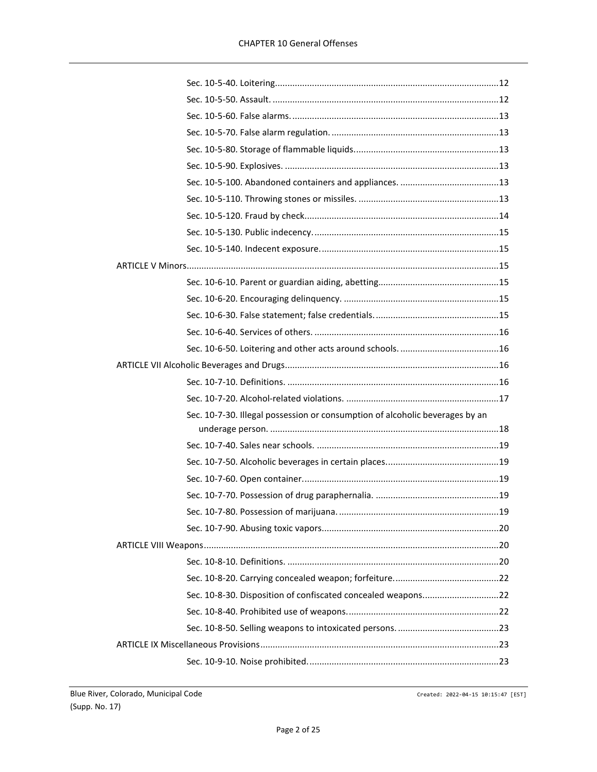| Sec. 10-7-30. Illegal possession or consumption of alcoholic beverages by an |  |
|------------------------------------------------------------------------------|--|
|                                                                              |  |
|                                                                              |  |
|                                                                              |  |
|                                                                              |  |
|                                                                              |  |
|                                                                              |  |
|                                                                              |  |
|                                                                              |  |
|                                                                              |  |
|                                                                              |  |
|                                                                              |  |
|                                                                              |  |
|                                                                              |  |
|                                                                              |  |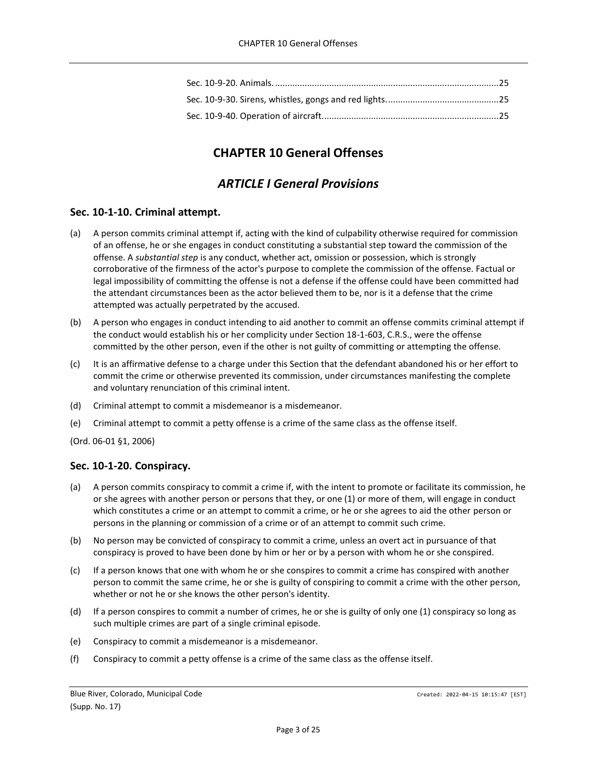# **CHAPTER 10 General Offenses**

# *ARTICLE I General Provisions*

# <span id="page-2-2"></span><span id="page-2-1"></span><span id="page-2-0"></span>**Sec. 10-1-10. Criminal attempt.**

- (a) A person commits criminal attempt if, acting with the kind of culpability otherwise required for commission of an offense, he or she engages in conduct constituting a substantial step toward the commission of the offense. A *substantial step* is any conduct, whether act, omission or possession, which is strongly corroborative of the firmness of the actor's purpose to complete the commission of the offense. Factual or legal impossibility of committing the offense is not a defense if the offense could have been committed had the attendant circumstances been as the actor believed them to be, nor is it a defense that the crime attempted was actually perpetrated by the accused.
- (b) A person who engages in conduct intending to aid another to commit an offense commits criminal attempt if the conduct would establish his or her complicity under Section 18-1-603, C.R.S., were the offense committed by the other person, even if the other is not guilty of committing or attempting the offense.
- (c) It is an affirmative defense to a charge under this Section that the defendant abandoned his or her effort to commit the crime or otherwise prevented its commission, under circumstances manifesting the complete and voluntary renunciation of this criminal intent.
- (d) Criminal attempt to commit a misdemeanor is a misdemeanor.
- (e) Criminal attempt to commit a petty offense is a crime of the same class as the offense itself.

(Ord. 06-01 §1, 2006)

# <span id="page-2-3"></span>**Sec. 10-1-20. Conspiracy.**

- (a) A person commits conspiracy to commit a crime if, with the intent to promote or facilitate its commission, he or she agrees with another person or persons that they, or one (1) or more of them, will engage in conduct which constitutes a crime or an attempt to commit a crime, or he or she agrees to aid the other person or persons in the planning or commission of a crime or of an attempt to commit such crime.
- (b) No person may be convicted of conspiracy to commit a crime, unless an overt act in pursuance of that conspiracy is proved to have been done by him or her or by a person with whom he or she conspired.
- (c) If a person knows that one with whom he or she conspires to commit a crime has conspired with another person to commit the same crime, he or she is guilty of conspiring to commit a crime with the other person, whether or not he or she knows the other person's identity.
- (d) If a person conspires to commit a number of crimes, he or she is guilty of only one (1) conspiracy so long as such multiple crimes are part of a single criminal episode.
- (e) Conspiracy to commit a misdemeanor is a misdemeanor.
- (f) Conspiracy to commit a petty offense is a crime of the same class as the offense itself.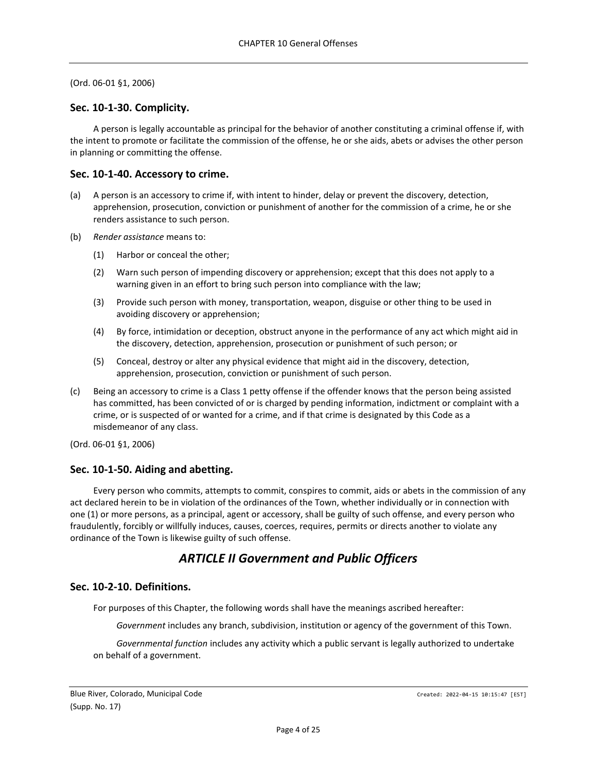## <span id="page-3-0"></span>**Sec. 10-1-30. Complicity.**

A person is legally accountable as principal for the behavior of another constituting a criminal offense if, with the intent to promote or facilitate the commission of the offense, he or she aids, abets or advises the other person in planning or committing the offense.

## <span id="page-3-1"></span>**Sec. 10-1-40. Accessory to crime.**

- (a) A person is an accessory to crime if, with intent to hinder, delay or prevent the discovery, detection, apprehension, prosecution, conviction or punishment of another for the commission of a crime, he or she renders assistance to such person.
- (b) *Render assistance* means to:
	- (1) Harbor or conceal the other;
	- (2) Warn such person of impending discovery or apprehension; except that this does not apply to a warning given in an effort to bring such person into compliance with the law;
	- (3) Provide such person with money, transportation, weapon, disguise or other thing to be used in avoiding discovery or apprehension;
	- (4) By force, intimidation or deception, obstruct anyone in the performance of any act which might aid in the discovery, detection, apprehension, prosecution or punishment of such person; or
	- (5) Conceal, destroy or alter any physical evidence that might aid in the discovery, detection, apprehension, prosecution, conviction or punishment of such person.
- (c) Being an accessory to crime is a Class 1 petty offense if the offender knows that the person being assisted has committed, has been convicted of or is charged by pending information, indictment or complaint with a crime, or is suspected of or wanted for a crime, and if that crime is designated by this Code as a misdemeanor of any class.

(Ord. 06-01 §1, 2006)

# <span id="page-3-2"></span>**Sec. 10-1-50. Aiding and abetting.**

Every person who commits, attempts to commit, conspires to commit, aids or abets in the commission of any act declared herein to be in violation of the ordinances of the Town, whether individually or in connection with one (1) or more persons, as a principal, agent or accessory, shall be guilty of such offense, and every person who fraudulently, forcibly or willfully induces, causes, coerces, requires, permits or directs another to violate any ordinance of the Town is likewise guilty of such offense.

# *ARTICLE II Government and Public Officers*

### <span id="page-3-4"></span><span id="page-3-3"></span>**Sec. 10-2-10. Definitions.**

For purposes of this Chapter, the following words shall have the meanings ascribed hereafter:

*Government* includes any branch, subdivision, institution or agency of the government of this Town.

*Governmental function* includes any activity which a public servant is legally authorized to undertake on behalf of a government.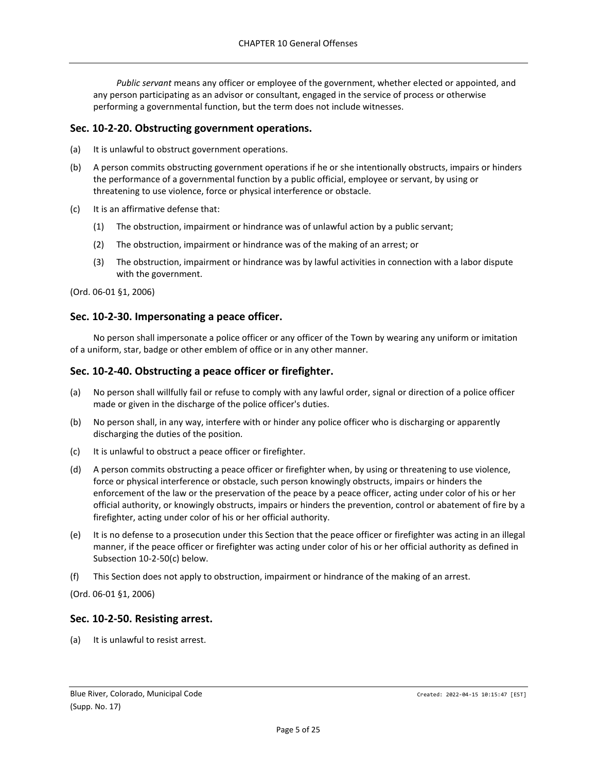*Public servant* means any officer or employee of the government, whether elected or appointed, and any person participating as an advisor or consultant, engaged in the service of process or otherwise performing a governmental function, but the term does not include witnesses.

## <span id="page-4-0"></span>**Sec. 10-2-20. Obstructing government operations.**

(a) It is unlawful to obstruct government operations.

- (b) A person commits obstructing government operations if he or she intentionally obstructs, impairs or hinders the performance of a governmental function by a public official, employee or servant, by using or threatening to use violence, force or physical interference or obstacle.
- (c) It is an affirmative defense that:
	- (1) The obstruction, impairment or hindrance was of unlawful action by a public servant;
	- (2) The obstruction, impairment or hindrance was of the making of an arrest; or
	- (3) The obstruction, impairment or hindrance was by lawful activities in connection with a labor dispute with the government.

(Ord. 06-01 §1, 2006)

## <span id="page-4-1"></span>**Sec. 10-2-30. Impersonating a peace officer.**

No person shall impersonate a police officer or any officer of the Town by wearing any uniform or imitation of a uniform, star, badge or other emblem of office or in any other manner.

### <span id="page-4-2"></span>**Sec. 10-2-40. Obstructing a peace officer or firefighter.**

- (a) No person shall willfully fail or refuse to comply with any lawful order, signal or direction of a police officer made or given in the discharge of the police officer's duties.
- (b) No person shall, in any way, interfere with or hinder any police officer who is discharging or apparently discharging the duties of the position.
- (c) It is unlawful to obstruct a peace officer or firefighter.
- (d) A person commits obstructing a peace officer or firefighter when, by using or threatening to use violence, force or physical interference or obstacle, such person knowingly obstructs, impairs or hinders the enforcement of the law or the preservation of the peace by a peace officer, acting under color of his or her official authority, or knowingly obstructs, impairs or hinders the prevention, control or abatement of fire by a firefighter, acting under color of his or her official authority.
- (e) It is no defense to a prosecution under this Section that the peace officer or firefighter was acting in an illegal manner, if the peace officer or firefighter was acting under color of his or her official authority as defined in Subsection 10-2-50(c) below.
- (f) This Section does not apply to obstruction, impairment or hindrance of the making of an arrest.

(Ord. 06-01 §1, 2006)

### <span id="page-4-3"></span>**Sec. 10-2-50. Resisting arrest.**

(a) It is unlawful to resist arrest.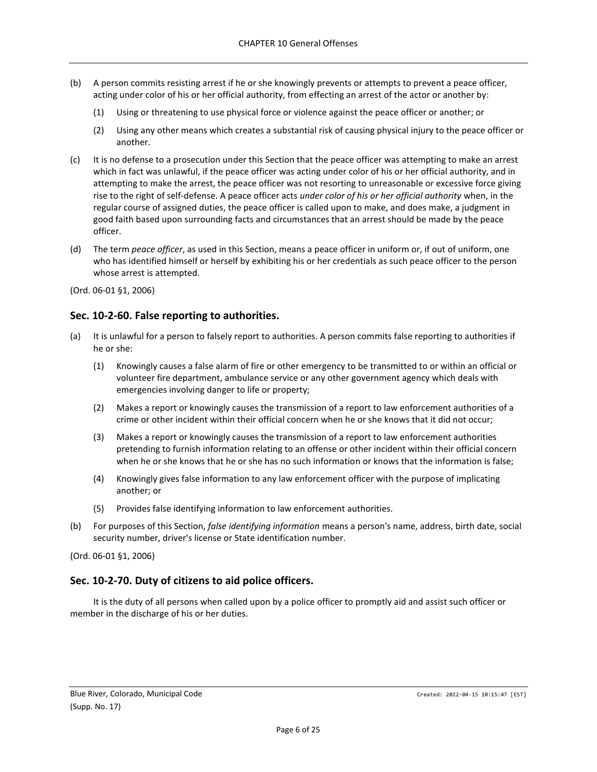- (b) A person commits resisting arrest if he or she knowingly prevents or attempts to prevent a peace officer, acting under color of his or her official authority, from effecting an arrest of the actor or another by:
	- (1) Using or threatening to use physical force or violence against the peace officer or another; or
	- (2) Using any other means which creates a substantial risk of causing physical injury to the peace officer or another.
- (c) It is no defense to a prosecution under this Section that the peace officer was attempting to make an arrest which in fact was unlawful, if the peace officer was acting under color of his or her official authority, and in attempting to make the arrest, the peace officer was not resorting to unreasonable or excessive force giving rise to the right of self-defense. A peace officer acts *under color of his or her official authority* when, in the regular course of assigned duties, the peace officer is called upon to make, and does make, a judgment in good faith based upon surrounding facts and circumstances that an arrest should be made by the peace officer.
- (d) The term *peace officer*, as used in this Section, means a peace officer in uniform or, if out of uniform, one who has identified himself or herself by exhibiting his or her credentials as such peace officer to the person whose arrest is attempted.

# <span id="page-5-0"></span>**Sec. 10-2-60. False reporting to authorities.**

- (a) It is unlawful for a person to falsely report to authorities. A person commits false reporting to authorities if he or she:
	- (1) Knowingly causes a false alarm of fire or other emergency to be transmitted to or within an official or volunteer fire department, ambulance service or any other government agency which deals with emergencies involving danger to life or property;
	- (2) Makes a report or knowingly causes the transmission of a report to law enforcement authorities of a crime or other incident within their official concern when he or she knows that it did not occur;
	- (3) Makes a report or knowingly causes the transmission of a report to law enforcement authorities pretending to furnish information relating to an offense or other incident within their official concern when he or she knows that he or she has no such information or knows that the information is false;
	- (4) Knowingly gives false information to any law enforcement officer with the purpose of implicating another; or
	- (5) Provides false identifying information to law enforcement authorities.
- (b) For purposes of this Section, *false identifying information* means a person's name, address, birth date, social security number, driver's license or State identification number.

(Ord. 06-01 §1, 2006)

# <span id="page-5-1"></span>**Sec. 10-2-70. Duty of citizens to aid police officers.**

It is the duty of all persons when called upon by a police officer to promptly aid and assist such officer or member in the discharge of his or her duties.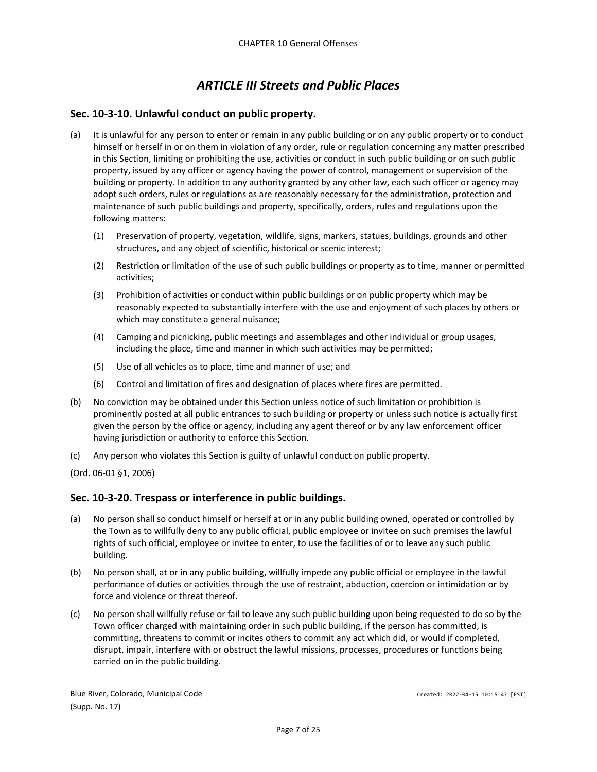# *ARTICLE III Streets and Public Places*

# <span id="page-6-1"></span><span id="page-6-0"></span>**Sec. 10-3-10. Unlawful conduct on public property.**

- (a) It is unlawful for any person to enter or remain in any public building or on any public property or to conduct himself or herself in or on them in violation of any order, rule or regulation concerning any matter prescribed in this Section, limiting or prohibiting the use, activities or conduct in such public building or on such public property, issued by any officer or agency having the power of control, management or supervision of the building or property. In addition to any authority granted by any other law, each such officer or agency may adopt such orders, rules or regulations as are reasonably necessary for the administration, protection and maintenance of such public buildings and property, specifically, orders, rules and regulations upon the following matters:
	- (1) Preservation of property, vegetation, wildlife, signs, markers, statues, buildings, grounds and other structures, and any object of scientific, historical or scenic interest;
	- (2) Restriction or limitation of the use of such public buildings or property as to time, manner or permitted activities;
	- (3) Prohibition of activities or conduct within public buildings or on public property which may be reasonably expected to substantially interfere with the use and enjoyment of such places by others or which may constitute a general nuisance;
	- (4) Camping and picnicking, public meetings and assemblages and other individual or group usages, including the place, time and manner in which such activities may be permitted;
	- (5) Use of all vehicles as to place, time and manner of use; and
	- (6) Control and limitation of fires and designation of places where fires are permitted.
- (b) No conviction may be obtained under this Section unless notice of such limitation or prohibition is prominently posted at all public entrances to such building or property or unless such notice is actually first given the person by the office or agency, including any agent thereof or by any law enforcement officer having jurisdiction or authority to enforce this Section.
- (c) Any person who violates this Section is guilty of unlawful conduct on public property.
- (Ord. 06-01 §1, 2006)

# <span id="page-6-2"></span>**Sec. 10-3-20. Trespass or interference in public buildings.**

- (a) No person shall so conduct himself or herself at or in any public building owned, operated or controlled by the Town as to willfully deny to any public official, public employee or invitee on such premises the lawful rights of such official, employee or invitee to enter, to use the facilities of or to leave any such public building.
- (b) No person shall, at or in any public building, willfully impede any public official or employee in the lawful performance of duties or activities through the use of restraint, abduction, coercion or intimidation or by force and violence or threat thereof.
- (c) No person shall willfully refuse or fail to leave any such public building upon being requested to do so by the Town officer charged with maintaining order in such public building, if the person has committed, is committing, threatens to commit or incites others to commit any act which did, or would if completed, disrupt, impair, interfere with or obstruct the lawful missions, processes, procedures or functions being carried on in the public building.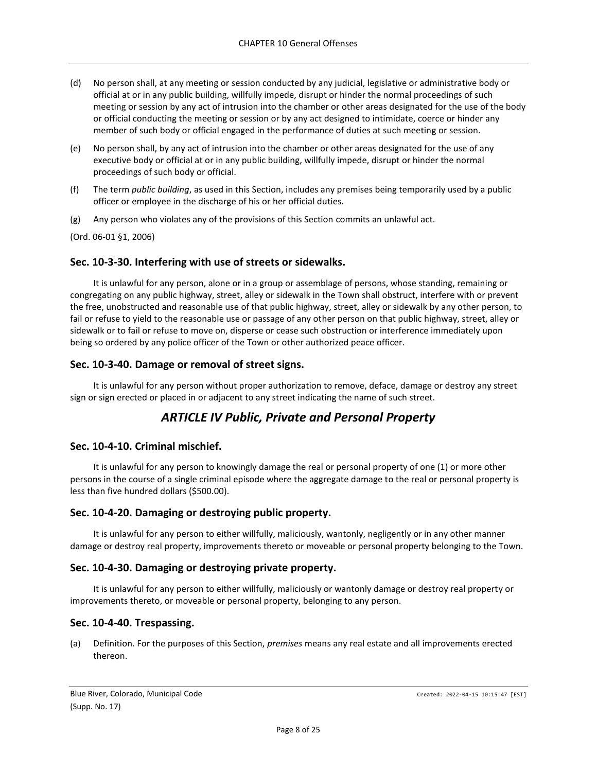- (d) No person shall, at any meeting or session conducted by any judicial, legislative or administrative body or official at or in any public building, willfully impede, disrupt or hinder the normal proceedings of such meeting or session by any act of intrusion into the chamber or other areas designated for the use of the body or official conducting the meeting or session or by any act designed to intimidate, coerce or hinder any member of such body or official engaged in the performance of duties at such meeting or session.
- (e) No person shall, by any act of intrusion into the chamber or other areas designated for the use of any executive body or official at or in any public building, willfully impede, disrupt or hinder the normal proceedings of such body or official.
- (f) The term *public building*, as used in this Section, includes any premises being temporarily used by a public officer or employee in the discharge of his or her official duties.
- (g) Any person who violates any of the provisions of this Section commits an unlawful act.

## <span id="page-7-0"></span>**Sec. 10-3-30. Interfering with use of streets or sidewalks.**

It is unlawful for any person, alone or in a group or assemblage of persons, whose standing, remaining or congregating on any public highway, street, alley or sidewalk in the Town shall obstruct, interfere with or prevent the free, unobstructed and reasonable use of that public highway, street, alley or sidewalk by any other person, to fail or refuse to yield to the reasonable use or passage of any other person on that public highway, street, alley or sidewalk or to fail or refuse to move on, disperse or cease such obstruction or interference immediately upon being so ordered by any police officer of the Town or other authorized peace officer.

## <span id="page-7-1"></span>**Sec. 10-3-40. Damage or removal of street signs.**

<span id="page-7-2"></span>It is unlawful for any person without proper authorization to remove, deface, damage or destroy any street sign or sign erected or placed in or adjacent to any street indicating the name of such street.

# *ARTICLE IV Public, Private and Personal Property*

### <span id="page-7-3"></span>**Sec. 10-4-10. Criminal mischief.**

It is unlawful for any person to knowingly damage the real or personal property of one (1) or more other persons in the course of a single criminal episode where the aggregate damage to the real or personal property is less than five hundred dollars (\$500.00).

### <span id="page-7-4"></span>**Sec. 10-4-20. Damaging or destroying public property.**

It is unlawful for any person to either willfully, maliciously, wantonly, negligently or in any other manner damage or destroy real property, improvements thereto or moveable or personal property belonging to the Town.

### <span id="page-7-5"></span>**Sec. 10-4-30. Damaging or destroying private property.**

It is unlawful for any person to either willfully, maliciously or wantonly damage or destroy real property or improvements thereto, or moveable or personal property, belonging to any person.

### <span id="page-7-6"></span>**Sec. 10-4-40. Trespassing.**

(a) Definition. For the purposes of this Section, *premises* means any real estate and all improvements erected thereon.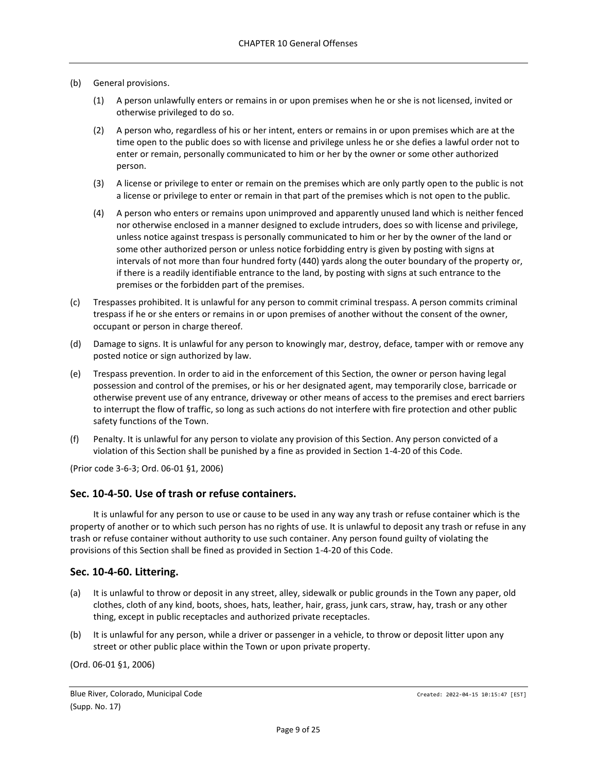### (b) General provisions.

- (1) A person unlawfully enters or remains in or upon premises when he or she is not licensed, invited or otherwise privileged to do so.
- (2) A person who, regardless of his or her intent, enters or remains in or upon premises which are at the time open to the public does so with license and privilege unless he or she defies a lawful order not to enter or remain, personally communicated to him or her by the owner or some other authorized person.
- (3) A license or privilege to enter or remain on the premises which are only partly open to the public is not a license or privilege to enter or remain in that part of the premises which is not open to the public.
- (4) A person who enters or remains upon unimproved and apparently unused land which is neither fenced nor otherwise enclosed in a manner designed to exclude intruders, does so with license and privilege, unless notice against trespass is personally communicated to him or her by the owner of the land or some other authorized person or unless notice forbidding entry is given by posting with signs at intervals of not more than four hundred forty (440) yards along the outer boundary of the property or, if there is a readily identifiable entrance to the land, by posting with signs at such entrance to the premises or the forbidden part of the premises.
- (c) Trespasses prohibited. It is unlawful for any person to commit criminal trespass. A person commits criminal trespass if he or she enters or remains in or upon premises of another without the consent of the owner, occupant or person in charge thereof.
- (d) Damage to signs. It is unlawful for any person to knowingly mar, destroy, deface, tamper with or remove any posted notice or sign authorized by law.
- (e) Trespass prevention. In order to aid in the enforcement of this Section, the owner or person having legal possession and control of the premises, or his or her designated agent, may temporarily close, barricade or otherwise prevent use of any entrance, driveway or other means of access to the premises and erect barriers to interrupt the flow of traffic, so long as such actions do not interfere with fire protection and other public safety functions of the Town.
- (f) Penalty. It is unlawful for any person to violate any provision of this Section. Any person convicted of a violation of this Section shall be punished by a fine as provided in Section 1-4-20 of this Code.

(Prior code 3-6-3; Ord. 06-01 §1, 2006)

### <span id="page-8-0"></span>**Sec. 10-4-50. Use of trash or refuse containers.**

It is unlawful for any person to use or cause to be used in any way any trash or refuse container which is the property of another or to which such person has no rights of use. It is unlawful to deposit any trash or refuse in any trash or refuse container without authority to use such container. Any person found guilty of violating the provisions of this Section shall be fined as provided in Section 1-4-20 of this Code.

### <span id="page-8-1"></span>**Sec. 10-4-60. Littering.**

- (a) It is unlawful to throw or deposit in any street, alley, sidewalk or public grounds in the Town any paper, old clothes, cloth of any kind, boots, shoes, hats, leather, hair, grass, junk cars, straw, hay, trash or any other thing, except in public receptacles and authorized private receptacles.
- (b) It is unlawful for any person, while a driver or passenger in a vehicle, to throw or deposit litter upon any street or other public place within the Town or upon private property.

(Ord. 06-01 §1, 2006)

Blue River, Colorado, Municipal Code Created: 2022-04-15 10:15:47 [EST] (Supp. No. 17)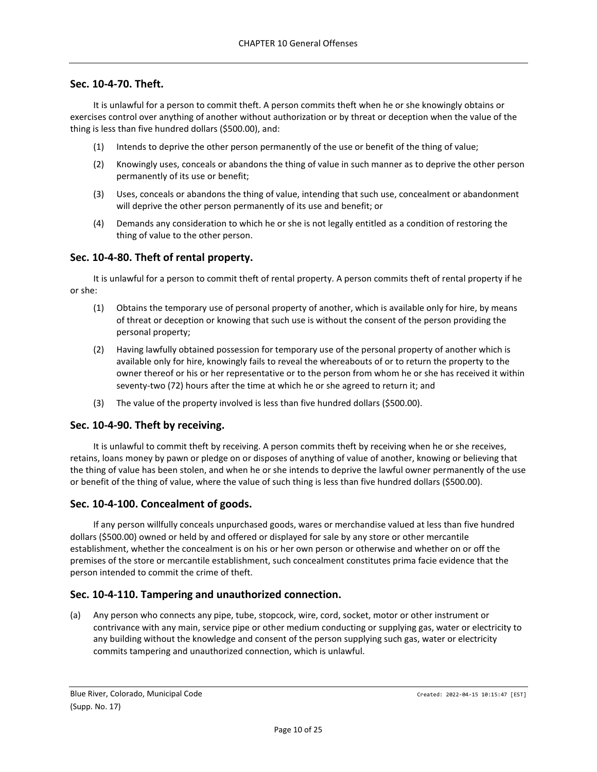## <span id="page-9-0"></span>**Sec. 10-4-70. Theft.**

It is unlawful for a person to commit theft. A person commits theft when he or she knowingly obtains or exercises control over anything of another without authorization or by threat or deception when the value of the thing is less than five hundred dollars (\$500.00), and:

- (1) Intends to deprive the other person permanently of the use or benefit of the thing of value;
- (2) Knowingly uses, conceals or abandons the thing of value in such manner as to deprive the other person permanently of its use or benefit;
- (3) Uses, conceals or abandons the thing of value, intending that such use, concealment or abandonment will deprive the other person permanently of its use and benefit; or
- (4) Demands any consideration to which he or she is not legally entitled as a condition of restoring the thing of value to the other person.

### <span id="page-9-1"></span>**Sec. 10-4-80. Theft of rental property.**

It is unlawful for a person to commit theft of rental property. A person commits theft of rental property if he or she:

- (1) Obtains the temporary use of personal property of another, which is available only for hire, by means of threat or deception or knowing that such use is without the consent of the person providing the personal property;
- (2) Having lawfully obtained possession for temporary use of the personal property of another which is available only for hire, knowingly fails to reveal the whereabouts of or to return the property to the owner thereof or his or her representative or to the person from whom he or she has received it within seventy-two (72) hours after the time at which he or she agreed to return it; and
- (3) The value of the property involved is less than five hundred dollars (\$500.00).

### <span id="page-9-2"></span>**Sec. 10-4-90. Theft by receiving.**

It is unlawful to commit theft by receiving. A person commits theft by receiving when he or she receives, retains, loans money by pawn or pledge on or disposes of anything of value of another, knowing or believing that the thing of value has been stolen, and when he or she intends to deprive the lawful owner permanently of the use or benefit of the thing of value, where the value of such thing is less than five hundred dollars (\$500.00).

### <span id="page-9-3"></span>**Sec. 10-4-100. Concealment of goods.**

If any person willfully conceals unpurchased goods, wares or merchandise valued at less than five hundred dollars (\$500.00) owned or held by and offered or displayed for sale by any store or other mercantile establishment, whether the concealment is on his or her own person or otherwise and whether on or off the premises of the store or mercantile establishment, such concealment constitutes prima facie evidence that the person intended to commit the crime of theft.

### <span id="page-9-4"></span>**Sec. 10-4-110. Tampering and unauthorized connection.**

(a) Any person who connects any pipe, tube, stopcock, wire, cord, socket, motor or other instrument or contrivance with any main, service pipe or other medium conducting or supplying gas, water or electricity to any building without the knowledge and consent of the person supplying such gas, water or electricity commits tampering and unauthorized connection, which is unlawful.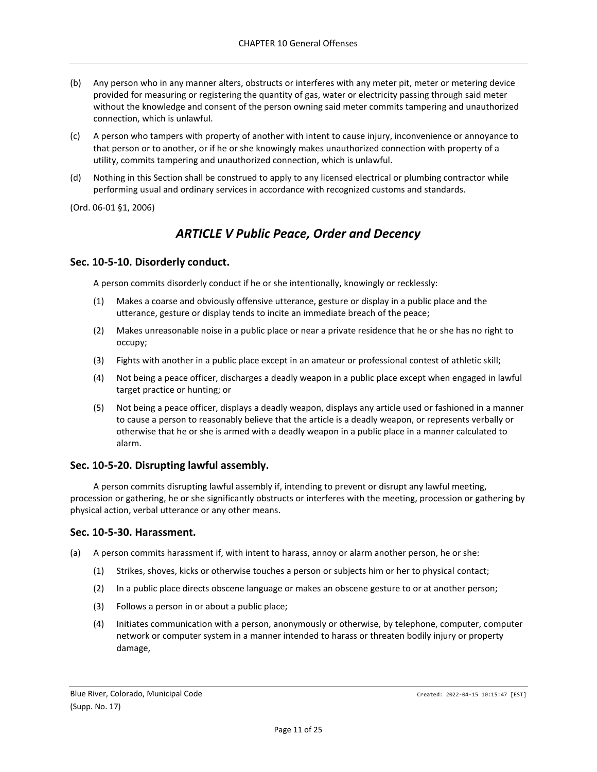- (b) Any person who in any manner alters, obstructs or interferes with any meter pit, meter or metering device provided for measuring or registering the quantity of gas, water or electricity passing through said meter without the knowledge and consent of the person owning said meter commits tampering and unauthorized connection, which is unlawful.
- (c) A person who tampers with property of another with intent to cause injury, inconvenience or annoyance to that person or to another, or if he or she knowingly makes unauthorized connection with property of a utility, commits tampering and unauthorized connection, which is unlawful.
- (d) Nothing in this Section shall be construed to apply to any licensed electrical or plumbing contractor while performing usual and ordinary services in accordance with recognized customs and standards.

# *ARTICLE V Public Peace, Order and Decency*

## <span id="page-10-1"></span><span id="page-10-0"></span>**Sec. 10-5-10. Disorderly conduct.**

A person commits disorderly conduct if he or she intentionally, knowingly or recklessly:

- (1) Makes a coarse and obviously offensive utterance, gesture or display in a public place and the utterance, gesture or display tends to incite an immediate breach of the peace;
- (2) Makes unreasonable noise in a public place or near a private residence that he or she has no right to occupy;
- (3) Fights with another in a public place except in an amateur or professional contest of athletic skill;
- (4) Not being a peace officer, discharges a deadly weapon in a public place except when engaged in lawful target practice or hunting; or
- (5) Not being a peace officer, displays a deadly weapon, displays any article used or fashioned in a manner to cause a person to reasonably believe that the article is a deadly weapon, or represents verbally or otherwise that he or she is armed with a deadly weapon in a public place in a manner calculated to alarm.

### <span id="page-10-2"></span>**Sec. 10-5-20. Disrupting lawful assembly.**

A person commits disrupting lawful assembly if, intending to prevent or disrupt any lawful meeting, procession or gathering, he or she significantly obstructs or interferes with the meeting, procession or gathering by physical action, verbal utterance or any other means.

### <span id="page-10-3"></span>**Sec. 10-5-30. Harassment.**

- (a) A person commits harassment if, with intent to harass, annoy or alarm another person, he or she:
	- (1) Strikes, shoves, kicks or otherwise touches a person or subjects him or her to physical contact;
	- (2) In a public place directs obscene language or makes an obscene gesture to or at another person;
	- (3) Follows a person in or about a public place;
	- (4) Initiates communication with a person, anonymously or otherwise, by telephone, computer, computer network or computer system in a manner intended to harass or threaten bodily injury or property damage,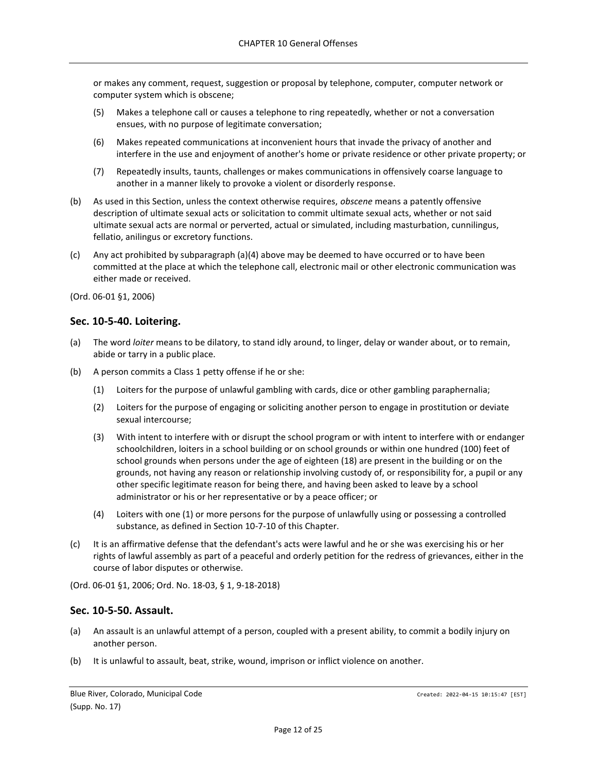or makes any comment, request, suggestion or proposal by telephone, computer, computer network or computer system which is obscene;

- (5) Makes a telephone call or causes a telephone to ring repeatedly, whether or not a conversation ensues, with no purpose of legitimate conversation;
- (6) Makes repeated communications at inconvenient hours that invade the privacy of another and interfere in the use and enjoyment of another's home or private residence or other private property; or
- (7) Repeatedly insults, taunts, challenges or makes communications in offensively coarse language to another in a manner likely to provoke a violent or disorderly response.
- (b) As used in this Section, unless the context otherwise requires, *obscene* means a patently offensive description of ultimate sexual acts or solicitation to commit ultimate sexual acts, whether or not said ultimate sexual acts are normal or perverted, actual or simulated, including masturbation, cunnilingus, fellatio, anilingus or excretory functions.
- (c) Any act prohibited by subparagraph (a)(4) above may be deemed to have occurred or to have been committed at the place at which the telephone call, electronic mail or other electronic communication was either made or received.

(Ord. 06-01 §1, 2006)

## <span id="page-11-0"></span>**Sec. 10-5-40. Loitering.**

- (a) The word *loiter* means to be dilatory, to stand idly around, to linger, delay or wander about, or to remain, abide or tarry in a public place.
- (b) A person commits a Class 1 petty offense if he or she:
	- (1) Loiters for the purpose of unlawful gambling with cards, dice or other gambling paraphernalia;
	- (2) Loiters for the purpose of engaging or soliciting another person to engage in prostitution or deviate sexual intercourse;
	- (3) With intent to interfere with or disrupt the school program or with intent to interfere with or endanger schoolchildren, loiters in a school building or on school grounds or within one hundred (100) feet of school grounds when persons under the age of eighteen (18) are present in the building or on the grounds, not having any reason or relationship involving custody of, or responsibility for, a pupil or any other specific legitimate reason for being there, and having been asked to leave by a school administrator or his or her representative or by a peace officer; or
	- (4) Loiters with one (1) or more persons for the purpose of unlawfully using or possessing a controlled substance, as defined in Section 10-7-10 of this Chapter.
- (c) It is an affirmative defense that the defendant's acts were lawful and he or she was exercising his or her rights of lawful assembly as part of a peaceful and orderly petition for the redress of grievances, either in the course of labor disputes or otherwise.

(Ord. 06-01 §1, 2006; Ord. No. 18-03, § 1, 9-18-2018)

### <span id="page-11-1"></span>**Sec. 10-5-50. Assault.**

- (a) An assault is an unlawful attempt of a person, coupled with a present ability, to commit a bodily injury on another person.
- (b) It is unlawful to assault, beat, strike, wound, imprison or inflict violence on another.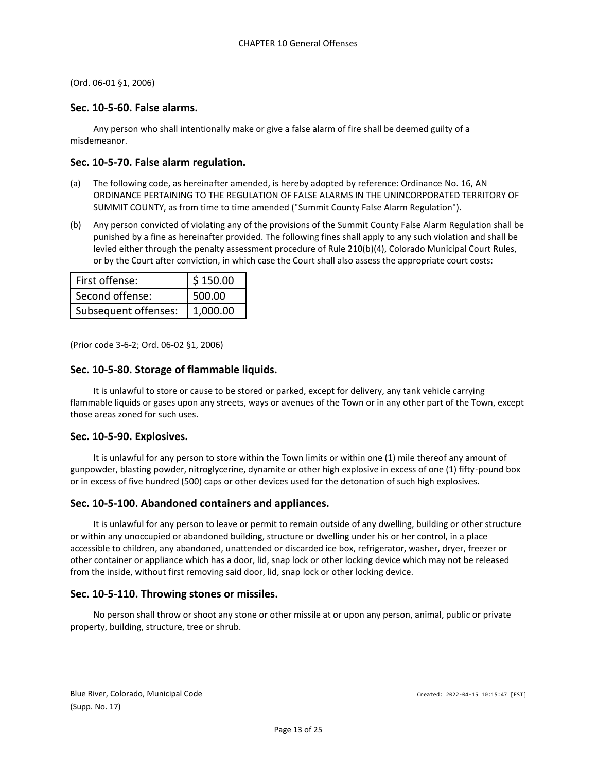## <span id="page-12-0"></span>**Sec. 10-5-60. False alarms.**

Any person who shall intentionally make or give a false alarm of fire shall be deemed guilty of a misdemeanor.

## <span id="page-12-1"></span>**Sec. 10-5-70. False alarm regulation.**

- (a) The following code, as hereinafter amended, is hereby adopted by reference: Ordinance No. 16, AN ORDINANCE PERTAINING TO THE REGULATION OF FALSE ALARMS IN THE UNINCORPORATED TERRITORY OF SUMMIT COUNTY, as from time to time amended ("Summit County False Alarm Regulation").
- (b) Any person convicted of violating any of the provisions of the Summit County False Alarm Regulation shall be punished by a fine as hereinafter provided. The following fines shall apply to any such violation and shall be levied either through the penalty assessment procedure of Rule 210(b)(4), Colorado Municipal Court Rules, or by the Court after conviction, in which case the Court shall also assess the appropriate court costs:

| First offense:       | \$150.00 |  |
|----------------------|----------|--|
| Second offense:      | 500.00   |  |
| Subsequent offenses: | 1.000.00 |  |

(Prior code 3-6-2; Ord. 06-02 §1, 2006)

# <span id="page-12-2"></span>**Sec. 10-5-80. Storage of flammable liquids.**

It is unlawful to store or cause to be stored or parked, except for delivery, any tank vehicle carrying flammable liquids or gases upon any streets, ways or avenues of the Town or in any other part of the Town, except those areas zoned for such uses.

# <span id="page-12-3"></span>**Sec. 10-5-90. Explosives.**

It is unlawful for any person to store within the Town limits or within one (1) mile thereof any amount of gunpowder, blasting powder, nitroglycerine, dynamite or other high explosive in excess of one (1) fifty-pound box or in excess of five hundred (500) caps or other devices used for the detonation of such high explosives.

# <span id="page-12-4"></span>**Sec. 10-5-100. Abandoned containers and appliances.**

It is unlawful for any person to leave or permit to remain outside of any dwelling, building or other structure or within any unoccupied or abandoned building, structure or dwelling under his or her control, in a place accessible to children, any abandoned, unattended or discarded ice box, refrigerator, washer, dryer, freezer or other container or appliance which has a door, lid, snap lock or other locking device which may not be released from the inside, without first removing said door, lid, snap lock or other locking device.

# <span id="page-12-5"></span>**Sec. 10-5-110. Throwing stones or missiles.**

No person shall throw or shoot any stone or other missile at or upon any person, animal, public or private property, building, structure, tree or shrub.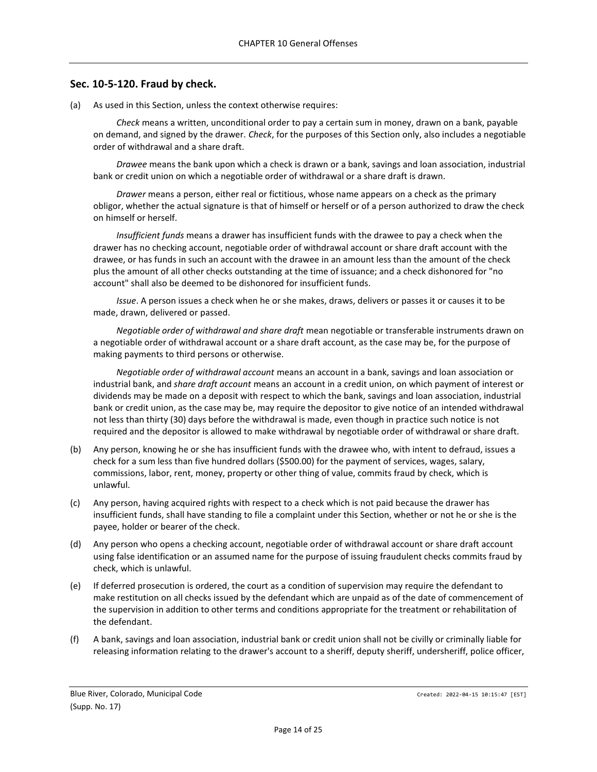### <span id="page-13-0"></span>**Sec. 10-5-120. Fraud by check.**

(a) As used in this Section, unless the context otherwise requires:

*Check* means a written, unconditional order to pay a certain sum in money, drawn on a bank, payable on demand, and signed by the drawer. *Check*, for the purposes of this Section only, also includes a negotiable order of withdrawal and a share draft.

*Drawee* means the bank upon which a check is drawn or a bank, savings and loan association, industrial bank or credit union on which a negotiable order of withdrawal or a share draft is drawn.

*Drawer* means a person, either real or fictitious, whose name appears on a check as the primary obligor, whether the actual signature is that of himself or herself or of a person authorized to draw the check on himself or herself.

*Insufficient funds* means a drawer has insufficient funds with the drawee to pay a check when the drawer has no checking account, negotiable order of withdrawal account or share draft account with the drawee, or has funds in such an account with the drawee in an amount less than the amount of the check plus the amount of all other checks outstanding at the time of issuance; and a check dishonored for "no account" shall also be deemed to be dishonored for insufficient funds.

*Issue*. A person issues a check when he or she makes, draws, delivers or passes it or causes it to be made, drawn, delivered or passed.

*Negotiable order of withdrawal and share draft* mean negotiable or transferable instruments drawn on a negotiable order of withdrawal account or a share draft account, as the case may be, for the purpose of making payments to third persons or otherwise.

*Negotiable order of withdrawal account* means an account in a bank, savings and loan association or industrial bank, and *share draft account* means an account in a credit union, on which payment of interest or dividends may be made on a deposit with respect to which the bank, savings and loan association, industrial bank or credit union, as the case may be, may require the depositor to give notice of an intended withdrawal not less than thirty (30) days before the withdrawal is made, even though in practice such notice is not required and the depositor is allowed to make withdrawal by negotiable order of withdrawal or share draft.

- (b) Any person, knowing he or she has insufficient funds with the drawee who, with intent to defraud, issues a check for a sum less than five hundred dollars (\$500.00) for the payment of services, wages, salary, commissions, labor, rent, money, property or other thing of value, commits fraud by check, which is unlawful.
- (c) Any person, having acquired rights with respect to a check which is not paid because the drawer has insufficient funds, shall have standing to file a complaint under this Section, whether or not he or she is the payee, holder or bearer of the check.
- (d) Any person who opens a checking account, negotiable order of withdrawal account or share draft account using false identification or an assumed name for the purpose of issuing fraudulent checks commits fraud by check, which is unlawful.
- (e) If deferred prosecution is ordered, the court as a condition of supervision may require the defendant to make restitution on all checks issued by the defendant which are unpaid as of the date of commencement of the supervision in addition to other terms and conditions appropriate for the treatment or rehabilitation of the defendant.
- (f) A bank, savings and loan association, industrial bank or credit union shall not be civilly or criminally liable for releasing information relating to the drawer's account to a sheriff, deputy sheriff, undersheriff, police officer,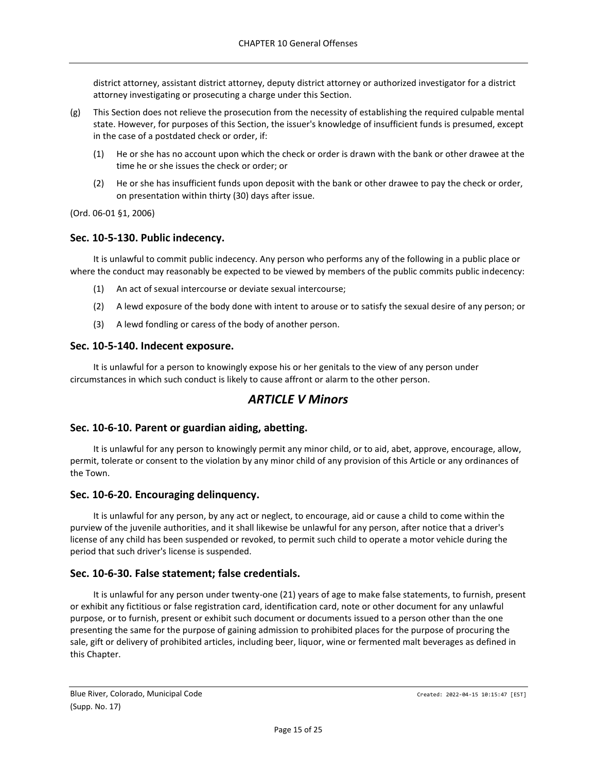district attorney, assistant district attorney, deputy district attorney or authorized investigator for a district attorney investigating or prosecuting a charge under this Section.

- (g) This Section does not relieve the prosecution from the necessity of establishing the required culpable mental state. However, for purposes of this Section, the issuer's knowledge of insufficient funds is presumed, except in the case of a postdated check or order, if:
	- (1) He or she has no account upon which the check or order is drawn with the bank or other drawee at the time he or she issues the check or order; or
	- (2) He or she has insufficient funds upon deposit with the bank or other drawee to pay the check or order, on presentation within thirty (30) days after issue.

(Ord. 06-01 §1, 2006)

## <span id="page-14-0"></span>**Sec. 10-5-130. Public indecency.**

It is unlawful to commit public indecency. Any person who performs any of the following in a public place or where the conduct may reasonably be expected to be viewed by members of the public commits public indecency:

- (1) An act of sexual intercourse or deviate sexual intercourse;
- (2) A lewd exposure of the body done with intent to arouse or to satisfy the sexual desire of any person; or
- (3) A lewd fondling or caress of the body of another person.

### <span id="page-14-1"></span>**Sec. 10-5-140. Indecent exposure.**

<span id="page-14-2"></span>It is unlawful for a person to knowingly expose his or her genitals to the view of any person under circumstances in which such conduct is likely to cause affront or alarm to the other person.

# *ARTICLE V Minors*

## <span id="page-14-3"></span>**Sec. 10-6-10. Parent or guardian aiding, abetting.**

It is unlawful for any person to knowingly permit any minor child, or to aid, abet, approve, encourage, allow, permit, tolerate or consent to the violation by any minor child of any provision of this Article or any ordinances of the Town.

### <span id="page-14-4"></span>**Sec. 10-6-20. Encouraging delinquency.**

It is unlawful for any person, by any act or neglect, to encourage, aid or cause a child to come within the purview of the juvenile authorities, and it shall likewise be unlawful for any person, after notice that a driver's license of any child has been suspended or revoked, to permit such child to operate a motor vehicle during the period that such driver's license is suspended.

# <span id="page-14-5"></span>**Sec. 10-6-30. False statement; false credentials.**

It is unlawful for any person under twenty-one (21) years of age to make false statements, to furnish, present or exhibit any fictitious or false registration card, identification card, note or other document for any unlawful purpose, or to furnish, present or exhibit such document or documents issued to a person other than the one presenting the same for the purpose of gaining admission to prohibited places for the purpose of procuring the sale, gift or delivery of prohibited articles, including beer, liquor, wine or fermented malt beverages as defined in this Chapter.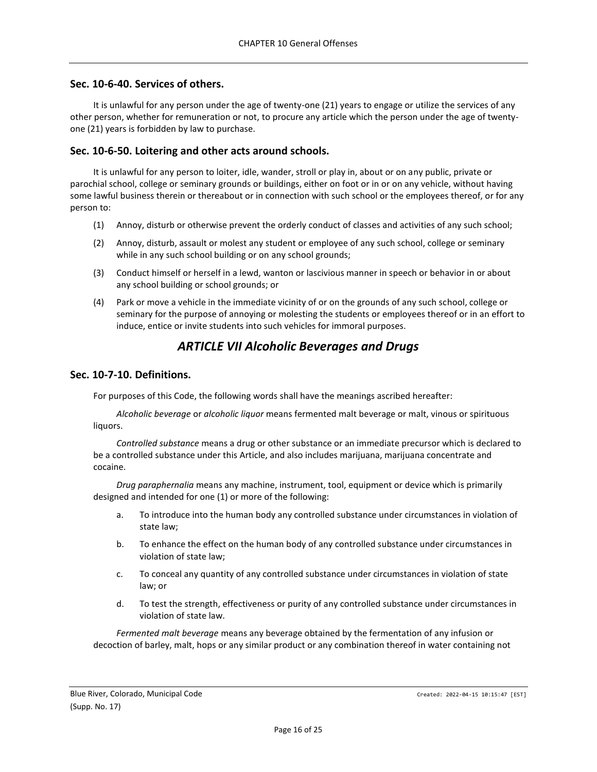## <span id="page-15-0"></span>**Sec. 10-6-40. Services of others.**

It is unlawful for any person under the age of twenty-one (21) years to engage or utilize the services of any other person, whether for remuneration or not, to procure any article which the person under the age of twentyone (21) years is forbidden by law to purchase.

## <span id="page-15-1"></span>**Sec. 10-6-50. Loitering and other acts around schools.**

It is unlawful for any person to loiter, idle, wander, stroll or play in, about or on any public, private or parochial school, college or seminary grounds or buildings, either on foot or in or on any vehicle, without having some lawful business therein or thereabout or in connection with such school or the employees thereof, or for any person to:

- (1) Annoy, disturb or otherwise prevent the orderly conduct of classes and activities of any such school;
- (2) Annoy, disturb, assault or molest any student or employee of any such school, college or seminary while in any such school building or on any school grounds;
- (3) Conduct himself or herself in a lewd, wanton or lascivious manner in speech or behavior in or about any school building or school grounds; or
- (4) Park or move a vehicle in the immediate vicinity of or on the grounds of any such school, college or seminary for the purpose of annoying or molesting the students or employees thereof or in an effort to induce, entice or invite students into such vehicles for immoral purposes.

# *ARTICLE VII Alcoholic Beverages and Drugs*

## <span id="page-15-3"></span><span id="page-15-2"></span>**Sec. 10-7-10. Definitions.**

For purposes of this Code, the following words shall have the meanings ascribed hereafter:

*Alcoholic beverage* or *alcoholic liquor* means fermented malt beverage or malt, vinous or spirituous liquors.

*Controlled substance* means a drug or other substance or an immediate precursor which is declared to be a controlled substance under this Article, and also includes marijuana, marijuana concentrate and cocaine.

*Drug paraphernalia* means any machine, instrument, tool, equipment or device which is primarily designed and intended for one (1) or more of the following:

- a. To introduce into the human body any controlled substance under circumstances in violation of state law;
- b. To enhance the effect on the human body of any controlled substance under circumstances in violation of state law;
- c. To conceal any quantity of any controlled substance under circumstances in violation of state law; or
- d. To test the strength, effectiveness or purity of any controlled substance under circumstances in violation of state law.

*Fermented malt beverage* means any beverage obtained by the fermentation of any infusion or decoction of barley, malt, hops or any similar product or any combination thereof in water containing not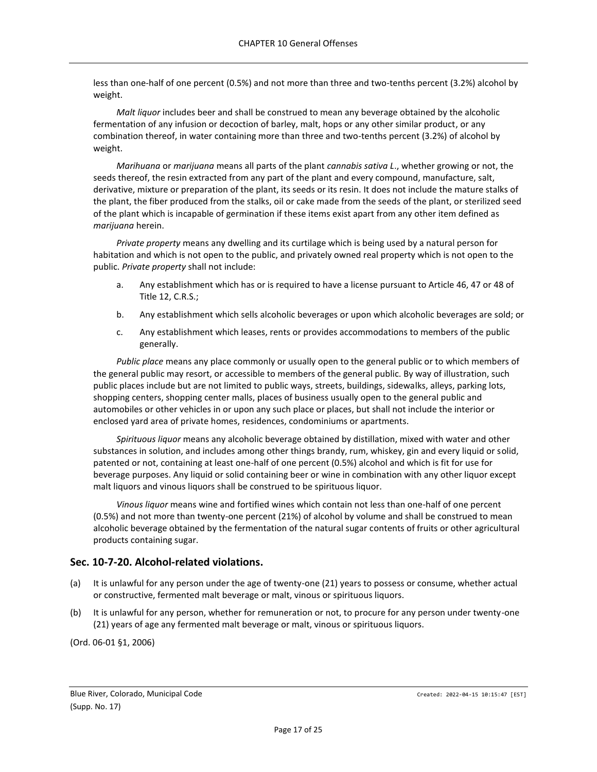less than one-half of one percent (0.5%) and not more than three and two-tenths percent (3.2%) alcohol by weight.

*Malt liquor* includes beer and shall be construed to mean any beverage obtained by the alcoholic fermentation of any infusion or decoction of barley, malt, hops or any other similar product, or any combination thereof, in water containing more than three and two-tenths percent (3.2%) of alcohol by weight.

*Marihuana* or *marijuana* means all parts of the plant *cannabis sativa L*., whether growing or not, the seeds thereof, the resin extracted from any part of the plant and every compound, manufacture, salt, derivative, mixture or preparation of the plant, its seeds or its resin. It does not include the mature stalks of the plant, the fiber produced from the stalks, oil or cake made from the seeds of the plant, or sterilized seed of the plant which is incapable of germination if these items exist apart from any other item defined as *marijuana* herein.

*Private property* means any dwelling and its curtilage which is being used by a natural person for habitation and which is not open to the public, and privately owned real property which is not open to the public. *Private property* shall not include:

- a. Any establishment which has or is required to have a license pursuant to Article 46, 47 or 48 of Title 12, C.R.S.;
- b. Any establishment which sells alcoholic beverages or upon which alcoholic beverages are sold; or
- c. Any establishment which leases, rents or provides accommodations to members of the public generally.

*Public place* means any place commonly or usually open to the general public or to which members of the general public may resort, or accessible to members of the general public. By way of illustration, such public places include but are not limited to public ways, streets, buildings, sidewalks, alleys, parking lots, shopping centers, shopping center malls, places of business usually open to the general public and automobiles or other vehicles in or upon any such place or places, but shall not include the interior or enclosed yard area of private homes, residences, condominiums or apartments.

*Spirituous liquor* means any alcoholic beverage obtained by distillation, mixed with water and other substances in solution, and includes among other things brandy, rum, whiskey, gin and every liquid or solid, patented or not, containing at least one-half of one percent (0.5%) alcohol and which is fit for use for beverage purposes. Any liquid or solid containing beer or wine in combination with any other liquor except malt liquors and vinous liquors shall be construed to be spirituous liquor.

*Vinous liquor* means wine and fortified wines which contain not less than one-half of one percent (0.5%) and not more than twenty-one percent (21%) of alcohol by volume and shall be construed to mean alcoholic beverage obtained by the fermentation of the natural sugar contents of fruits or other agricultural products containing sugar.

# <span id="page-16-0"></span>**Sec. 10-7-20. Alcohol-related violations.**

- (a) It is unlawful for any person under the age of twenty-one (21) years to possess or consume, whether actual or constructive, fermented malt beverage or malt, vinous or spirituous liquors.
- (b) It is unlawful for any person, whether for remuneration or not, to procure for any person under twenty-one (21) years of age any fermented malt beverage or malt, vinous or spirituous liquors.

(Ord. 06-01 §1, 2006)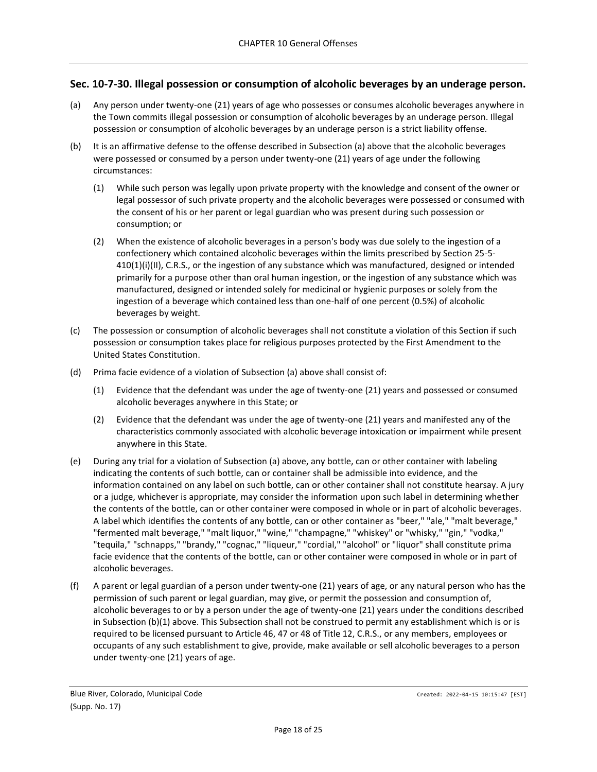# <span id="page-17-0"></span>**Sec. 10-7-30. Illegal possession or consumption of alcoholic beverages by an underage person.**

- (a) Any person under twenty-one (21) years of age who possesses or consumes alcoholic beverages anywhere in the Town commits illegal possession or consumption of alcoholic beverages by an underage person. Illegal possession or consumption of alcoholic beverages by an underage person is a strict liability offense.
- (b) It is an affirmative defense to the offense described in Subsection (a) above that the alcoholic beverages were possessed or consumed by a person under twenty-one (21) years of age under the following circumstances:
	- (1) While such person was legally upon private property with the knowledge and consent of the owner or legal possessor of such private property and the alcoholic beverages were possessed or consumed with the consent of his or her parent or legal guardian who was present during such possession or consumption; or
	- (2) When the existence of alcoholic beverages in a person's body was due solely to the ingestion of a confectionery which contained alcoholic beverages within the limits prescribed by Section 25-5- 410(1)(i)(II), C.R.S., or the ingestion of any substance which was manufactured, designed or intended primarily for a purpose other than oral human ingestion, or the ingestion of any substance which was manufactured, designed or intended solely for medicinal or hygienic purposes or solely from the ingestion of a beverage which contained less than one-half of one percent (0.5%) of alcoholic beverages by weight.
- (c) The possession or consumption of alcoholic beverages shall not constitute a violation of this Section if such possession or consumption takes place for religious purposes protected by the First Amendment to the United States Constitution.
- (d) Prima facie evidence of a violation of Subsection (a) above shall consist of:
	- (1) Evidence that the defendant was under the age of twenty-one (21) years and possessed or consumed alcoholic beverages anywhere in this State; or
	- (2) Evidence that the defendant was under the age of twenty-one (21) years and manifested any of the characteristics commonly associated with alcoholic beverage intoxication or impairment while present anywhere in this State.
- (e) During any trial for a violation of Subsection (a) above, any bottle, can or other container with labeling indicating the contents of such bottle, can or container shall be admissible into evidence, and the information contained on any label on such bottle, can or other container shall not constitute hearsay. A jury or a judge, whichever is appropriate, may consider the information upon such label in determining whether the contents of the bottle, can or other container were composed in whole or in part of alcoholic beverages. A label which identifies the contents of any bottle, can or other container as "beer," "ale," "malt beverage," "fermented malt beverage," "malt liquor," "wine," "champagne," "whiskey" or "whisky," "gin," "vodka," "tequila," "schnapps," "brandy," "cognac," "liqueur," "cordial," "alcohol" or "liquor" shall constitute prima facie evidence that the contents of the bottle, can or other container were composed in whole or in part of alcoholic beverages.
- (f) A parent or legal guardian of a person under twenty-one (21) years of age, or any natural person who has the permission of such parent or legal guardian, may give, or permit the possession and consumption of, alcoholic beverages to or by a person under the age of twenty-one (21) years under the conditions described in Subsection (b)(1) above. This Subsection shall not be construed to permit any establishment which is or is required to be licensed pursuant to Article 46, 47 or 48 of Title 12, C.R.S., or any members, employees or occupants of any such establishment to give, provide, make available or sell alcoholic beverages to a person under twenty-one (21) years of age.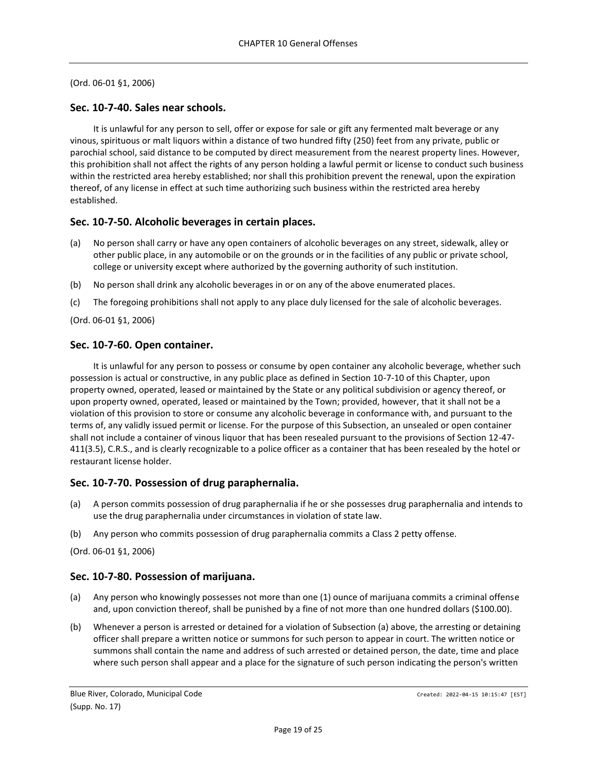## <span id="page-18-0"></span>**Sec. 10-7-40. Sales near schools.**

It is unlawful for any person to sell, offer or expose for sale or gift any fermented malt beverage or any vinous, spirituous or malt liquors within a distance of two hundred fifty (250) feet from any private, public or parochial school, said distance to be computed by direct measurement from the nearest property lines. However, this prohibition shall not affect the rights of any person holding a lawful permit or license to conduct such business within the restricted area hereby established; nor shall this prohibition prevent the renewal, upon the expiration thereof, of any license in effect at such time authorizing such business within the restricted area hereby established.

## <span id="page-18-1"></span>**Sec. 10-7-50. Alcoholic beverages in certain places.**

- (a) No person shall carry or have any open containers of alcoholic beverages on any street, sidewalk, alley or other public place, in any automobile or on the grounds or in the facilities of any public or private school, college or university except where authorized by the governing authority of such institution.
- (b) No person shall drink any alcoholic beverages in or on any of the above enumerated places.
- (c) The foregoing prohibitions shall not apply to any place duly licensed for the sale of alcoholic beverages.

(Ord. 06-01 §1, 2006)

## <span id="page-18-2"></span>**Sec. 10-7-60. Open container.**

It is unlawful for any person to possess or consume by open container any alcoholic beverage, whether such possession is actual or constructive, in any public place as defined in Section 10-7-10 of this Chapter, upon property owned, operated, leased or maintained by the State or any political subdivision or agency thereof, or upon property owned, operated, leased or maintained by the Town; provided, however, that it shall not be a violation of this provision to store or consume any alcoholic beverage in conformance with, and pursuant to the terms of, any validly issued permit or license. For the purpose of this Subsection, an unsealed or open container shall not include a container of vinous liquor that has been resealed pursuant to the provisions of Section 12-47- 411(3.5), C.R.S., and is clearly recognizable to a police officer as a container that has been resealed by the hotel or restaurant license holder.

### <span id="page-18-3"></span>**Sec. 10-7-70. Possession of drug paraphernalia.**

- (a) A person commits possession of drug paraphernalia if he or she possesses drug paraphernalia and intends to use the drug paraphernalia under circumstances in violation of state law.
- (b) Any person who commits possession of drug paraphernalia commits a Class 2 petty offense.

(Ord. 06-01 §1, 2006)

### <span id="page-18-4"></span>**Sec. 10-7-80. Possession of marijuana.**

- (a) Any person who knowingly possesses not more than one (1) ounce of marijuana commits a criminal offense and, upon conviction thereof, shall be punished by a fine of not more than one hundred dollars (\$100.00).
- (b) Whenever a person is arrested or detained for a violation of Subsection (a) above, the arresting or detaining officer shall prepare a written notice or summons for such person to appear in court. The written notice or summons shall contain the name and address of such arrested or detained person, the date, time and place where such person shall appear and a place for the signature of such person indicating the person's written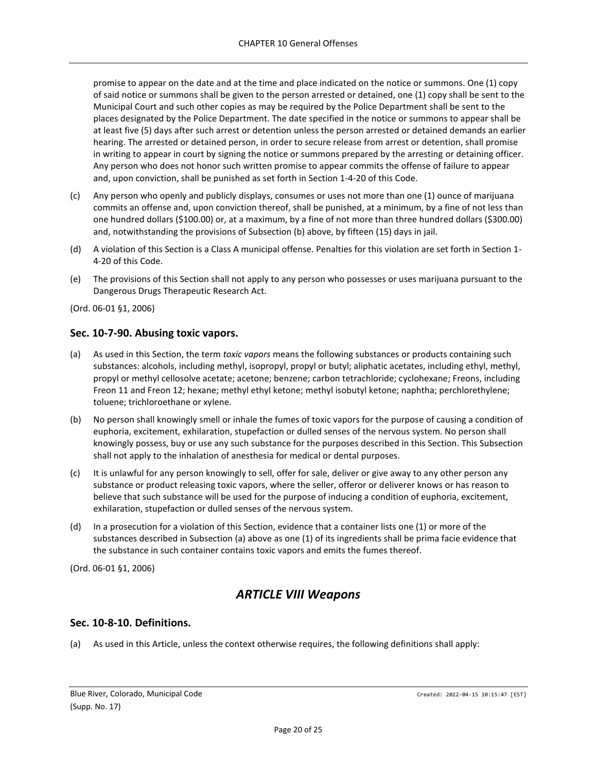promise to appear on the date and at the time and place indicated on the notice or summons. One (1) copy of said notice or summons shall be given to the person arrested or detained, one (1) copy shall be sent to the Municipal Court and such other copies as may be required by the Police Department shall be sent to the places designated by the Police Department. The date specified in the notice or summons to appear shall be at least five (5) days after such arrest or detention unless the person arrested or detained demands an earlier hearing. The arrested or detained person, in order to secure release from arrest or detention, shall promise in writing to appear in court by signing the notice or summons prepared by the arresting or detaining officer. Any person who does not honor such written promise to appear commits the offense of failure to appear and, upon conviction, shall be punished as set forth in Section 1-4-20 of this Code.

- (c) Any person who openly and publicly displays, consumes or uses not more than one (1) ounce of marijuana commits an offense and, upon conviction thereof, shall be punished, at a minimum, by a fine of not less than one hundred dollars (\$100.00) or, at a maximum, by a fine of not more than three hundred dollars (\$300.00) and, notwithstanding the provisions of Subsection (b) above, by fifteen (15) days in jail.
- (d) A violation of this Section is a Class A municipal offense. Penalties for this violation are set forth in Section 1- 4-20 of this Code.
- (e) The provisions of this Section shall not apply to any person who possesses or uses marijuana pursuant to the Dangerous Drugs Therapeutic Research Act.

(Ord. 06-01 §1, 2006)

### <span id="page-19-0"></span>**Sec. 10-7-90. Abusing toxic vapors.**

- (a) As used in this Section, the term *toxic vapors* means the following substances or products containing such substances: alcohols, including methyl, isopropyl, propyl or butyl; aliphatic acetates, including ethyl, methyl, propyl or methyl cellosolve acetate; acetone; benzene; carbon tetrachloride; cyclohexane; Freons, including Freon 11 and Freon 12; hexane; methyl ethyl ketone; methyl isobutyl ketone; naphtha; perchlorethylene; toluene; trichloroethane or xylene.
- (b) No person shall knowingly smell or inhale the fumes of toxic vapors for the purpose of causing a condition of euphoria, excitement, exhilaration, stupefaction or dulled senses of the nervous system. No person shall knowingly possess, buy or use any such substance for the purposes described in this Section. This Subsection shall not apply to the inhalation of anesthesia for medical or dental purposes.
- (c) It is unlawful for any person knowingly to sell, offer for sale, deliver or give away to any other person any substance or product releasing toxic vapors, where the seller, offeror or deliverer knows or has reason to believe that such substance will be used for the purpose of inducing a condition of euphoria, excitement, exhilaration, stupefaction or dulled senses of the nervous system.
- (d) In a prosecution for a violation of this Section, evidence that a container lists one (1) or more of the substances described in Subsection (a) above as one (1) of its ingredients shall be prima facie evidence that the substance in such container contains toxic vapors and emits the fumes thereof.

<span id="page-19-1"></span>(Ord. 06-01 §1, 2006)

# *ARTICLE VIII Weapons*

### <span id="page-19-2"></span>**Sec. 10-8-10. Definitions.**

(a) As used in this Article, unless the context otherwise requires, the following definitions shall apply: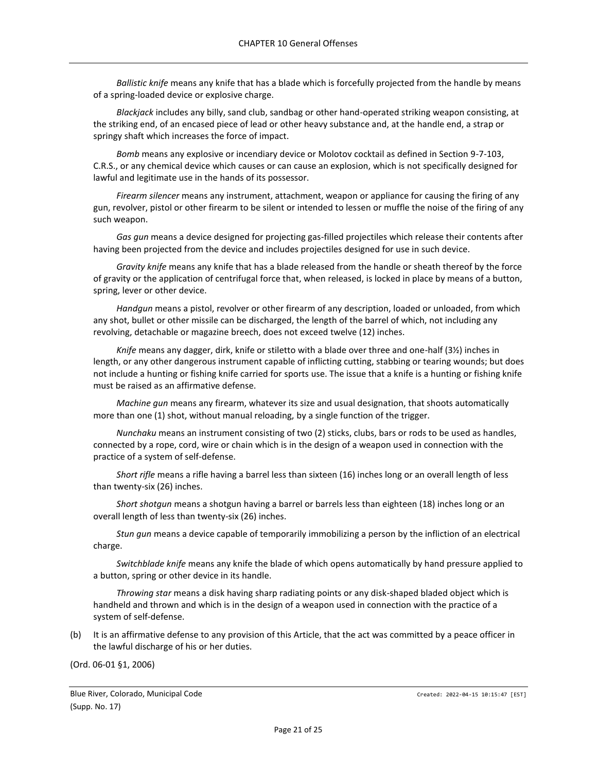*Ballistic knife* means any knife that has a blade which is forcefully projected from the handle by means of a spring-loaded device or explosive charge.

*Blackjack* includes any billy, sand club, sandbag or other hand-operated striking weapon consisting, at the striking end, of an encased piece of lead or other heavy substance and, at the handle end, a strap or springy shaft which increases the force of impact.

*Bomb* means any explosive or incendiary device or Molotov cocktail as defined in Section 9-7-103, C.R.S., or any chemical device which causes or can cause an explosion, which is not specifically designed for lawful and legitimate use in the hands of its possessor.

*Firearm silencer* means any instrument, attachment, weapon or appliance for causing the firing of any gun, revolver, pistol or other firearm to be silent or intended to lessen or muffle the noise of the firing of any such weapon.

*Gas gun* means a device designed for projecting gas-filled projectiles which release their contents after having been projected from the device and includes projectiles designed for use in such device.

*Gravity knife* means any knife that has a blade released from the handle or sheath thereof by the force of gravity or the application of centrifugal force that, when released, is locked in place by means of a button, spring, lever or other device.

*Handgun* means a pistol, revolver or other firearm of any description, loaded or unloaded, from which any shot, bullet or other missile can be discharged, the length of the barrel of which, not including any revolving, detachable or magazine breech, does not exceed twelve (12) inches.

*Knife* means any dagger, dirk, knife or stiletto with a blade over three and one-half (3½) inches in length, or any other dangerous instrument capable of inflicting cutting, stabbing or tearing wounds; but does not include a hunting or fishing knife carried for sports use. The issue that a knife is a hunting or fishing knife must be raised as an affirmative defense.

*Machine gun* means any firearm, whatever its size and usual designation, that shoots automatically more than one (1) shot, without manual reloading, by a single function of the trigger.

*Nunchaku* means an instrument consisting of two (2) sticks, clubs, bars or rods to be used as handles, connected by a rope, cord, wire or chain which is in the design of a weapon used in connection with the practice of a system of self-defense.

*Short rifle* means a rifle having a barrel less than sixteen (16) inches long or an overall length of less than twenty-six (26) inches.

*Short shotgun* means a shotgun having a barrel or barrels less than eighteen (18) inches long or an overall length of less than twenty-six (26) inches.

*Stun gun* means a device capable of temporarily immobilizing a person by the infliction of an electrical charge.

*Switchblade knife* means any knife the blade of which opens automatically by hand pressure applied to a button, spring or other device in its handle.

*Throwing star* means a disk having sharp radiating points or any disk-shaped bladed object which is handheld and thrown and which is in the design of a weapon used in connection with the practice of a system of self-defense.

(b) It is an affirmative defense to any provision of this Article, that the act was committed by a peace officer in the lawful discharge of his or her duties.

(Ord. 06-01 §1, 2006)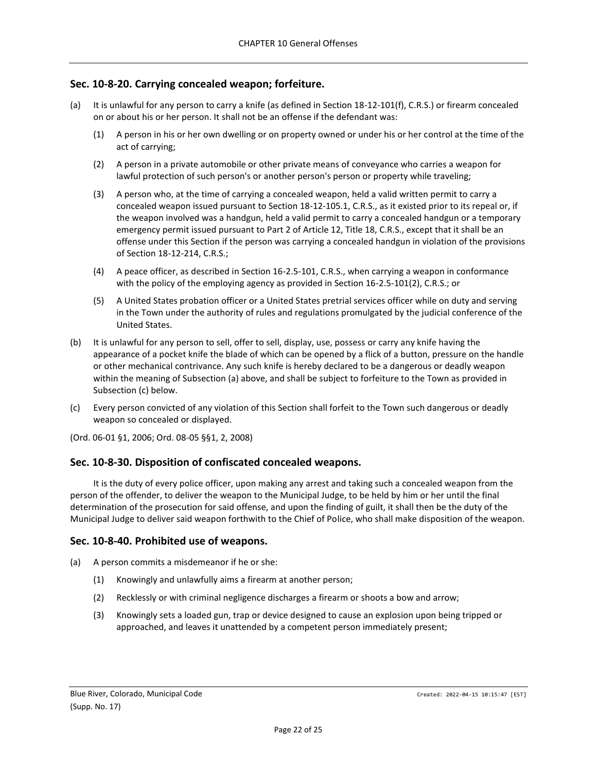# <span id="page-21-0"></span>**Sec. 10-8-20. Carrying concealed weapon; forfeiture.**

- (a) It is unlawful for any person to carry a knife (as defined in Section 18-12-101(f), C.R.S.) or firearm concealed on or about his or her person. It shall not be an offense if the defendant was:
	- (1) A person in his or her own dwelling or on property owned or under his or her control at the time of the act of carrying;
	- (2) A person in a private automobile or other private means of conveyance who carries a weapon for lawful protection of such person's or another person's person or property while traveling;
	- (3) A person who, at the time of carrying a concealed weapon, held a valid written permit to carry a concealed weapon issued pursuant to Section 18-12-105.1, C.R.S., as it existed prior to its repeal or, if the weapon involved was a handgun, held a valid permit to carry a concealed handgun or a temporary emergency permit issued pursuant to Part 2 of Article 12, Title 18, C.R.S., except that it shall be an offense under this Section if the person was carrying a concealed handgun in violation of the provisions of Section 18-12-214, C.R.S.;
	- (4) A peace officer, as described in Section 16-2.5-101, C.R.S., when carrying a weapon in conformance with the policy of the employing agency as provided in Section 16-2.5-101(2), C.R.S.; or
	- (5) A United States probation officer or a United States pretrial services officer while on duty and serving in the Town under the authority of rules and regulations promulgated by the judicial conference of the United States.
- (b) It is unlawful for any person to sell, offer to sell, display, use, possess or carry any knife having the appearance of a pocket knife the blade of which can be opened by a flick of a button, pressure on the handle or other mechanical contrivance. Any such knife is hereby declared to be a dangerous or deadly weapon within the meaning of Subsection (a) above, and shall be subject to forfeiture to the Town as provided in Subsection (c) below.
- (c) Every person convicted of any violation of this Section shall forfeit to the Town such dangerous or deadly weapon so concealed or displayed.
- (Ord. 06-01 §1, 2006; Ord. 08-05 §§1, 2, 2008)

### <span id="page-21-1"></span>**Sec. 10-8-30. Disposition of confiscated concealed weapons.**

It is the duty of every police officer, upon making any arrest and taking such a concealed weapon from the person of the offender, to deliver the weapon to the Municipal Judge, to be held by him or her until the final determination of the prosecution for said offense, and upon the finding of guilt, it shall then be the duty of the Municipal Judge to deliver said weapon forthwith to the Chief of Police, who shall make disposition of the weapon.

### <span id="page-21-2"></span>**Sec. 10-8-40. Prohibited use of weapons.**

- (a) A person commits a misdemeanor if he or she:
	- (1) Knowingly and unlawfully aims a firearm at another person;
	- (2) Recklessly or with criminal negligence discharges a firearm or shoots a bow and arrow;
	- (3) Knowingly sets a loaded gun, trap or device designed to cause an explosion upon being tripped or approached, and leaves it unattended by a competent person immediately present;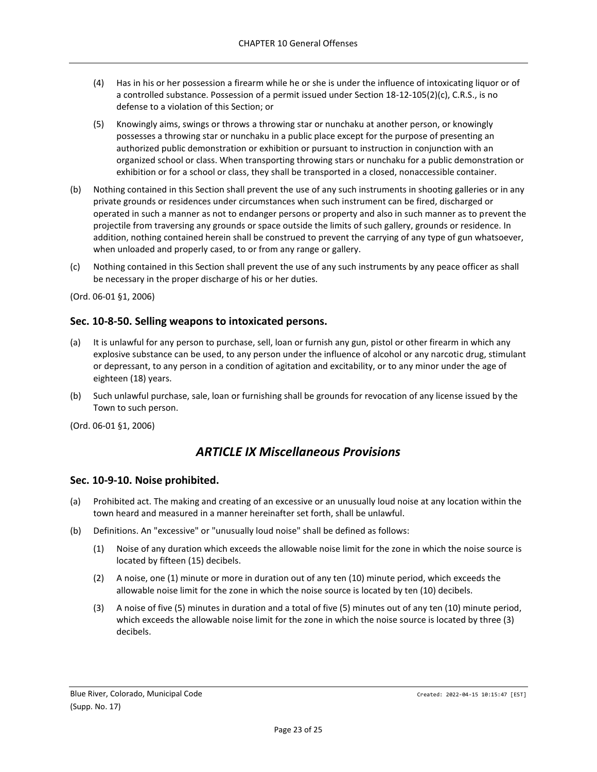- (4) Has in his or her possession a firearm while he or she is under the influence of intoxicating liquor or of a controlled substance. Possession of a permit issued under Section 18-12-105(2)(c), C.R.S., is no defense to a violation of this Section; or
- (5) Knowingly aims, swings or throws a throwing star or nunchaku at another person, or knowingly possesses a throwing star or nunchaku in a public place except for the purpose of presenting an authorized public demonstration or exhibition or pursuant to instruction in conjunction with an organized school or class. When transporting throwing stars or nunchaku for a public demonstration or exhibition or for a school or class, they shall be transported in a closed, nonaccessible container.
- (b) Nothing contained in this Section shall prevent the use of any such instruments in shooting galleries or in any private grounds or residences under circumstances when such instrument can be fired, discharged or operated in such a manner as not to endanger persons or property and also in such manner as to prevent the projectile from traversing any grounds or space outside the limits of such gallery, grounds or residence. In addition, nothing contained herein shall be construed to prevent the carrying of any type of gun whatsoever, when unloaded and properly cased, to or from any range or gallery.
- (c) Nothing contained in this Section shall prevent the use of any such instruments by any peace officer as shall be necessary in the proper discharge of his or her duties.

# <span id="page-22-0"></span>**Sec. 10-8-50. Selling weapons to intoxicated persons.**

- (a) It is unlawful for any person to purchase, sell, loan or furnish any gun, pistol or other firearm in which any explosive substance can be used, to any person under the influence of alcohol or any narcotic drug, stimulant or depressant, to any person in a condition of agitation and excitability, or to any minor under the age of eighteen (18) years.
- (b) Such unlawful purchase, sale, loan or furnishing shall be grounds for revocation of any license issued by the Town to such person.

<span id="page-22-1"></span>(Ord. 06-01 §1, 2006)

# *ARTICLE IX Miscellaneous Provisions*

### <span id="page-22-2"></span>**Sec. 10-9-10. Noise prohibited.**

- (a) Prohibited act. The making and creating of an excessive or an unusually loud noise at any location within the town heard and measured in a manner hereinafter set forth, shall be unlawful.
- (b) Definitions. An "excessive" or "unusually loud noise" shall be defined as follows:
	- (1) Noise of any duration which exceeds the allowable noise limit for the zone in which the noise source is located by fifteen (15) decibels.
	- (2) A noise, one (1) minute or more in duration out of any ten (10) minute period, which exceeds the allowable noise limit for the zone in which the noise source is located by ten (10) decibels.
	- (3) A noise of five (5) minutes in duration and a total of five (5) minutes out of any ten (10) minute period, which exceeds the allowable noise limit for the zone in which the noise source is located by three (3) decibels.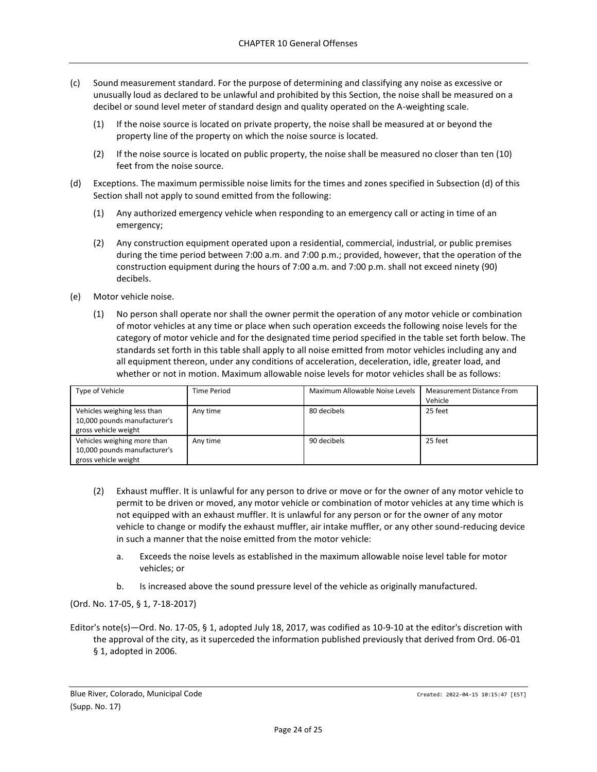- (c) Sound measurement standard. For the purpose of determining and classifying any noise as excessive or unusually loud as declared to be unlawful and prohibited by this Section, the noise shall be measured on a decibel or sound level meter of standard design and quality operated on the A-weighting scale.
	- (1) If the noise source is located on private property, the noise shall be measured at or beyond the property line of the property on which the noise source is located.
	- (2) If the noise source is located on public property, the noise shall be measured no closer than ten (10) feet from the noise source.
- (d) Exceptions. The maximum permissible noise limits for the times and zones specified in Subsection (d) of this Section shall not apply to sound emitted from the following:
	- (1) Any authorized emergency vehicle when responding to an emergency call or acting in time of an emergency;
	- (2) Any construction equipment operated upon a residential, commercial, industrial, or public premises during the time period between 7:00 a.m. and 7:00 p.m.; provided, however, that the operation of the construction equipment during the hours of 7:00 a.m. and 7:00 p.m. shall not exceed ninety (90) decibels.
- (e) Motor vehicle noise.
	- (1) No person shall operate nor shall the owner permit the operation of any motor vehicle or combination of motor vehicles at any time or place when such operation exceeds the following noise levels for the category of motor vehicle and for the designated time period specified in the table set forth below. The standards set forth in this table shall apply to all noise emitted from motor vehicles including any and all equipment thereon, under any conditions of acceleration, deceleration, idle, greater load, and whether or not in motion. Maximum allowable noise levels for motor vehicles shall be as follows:

| Type of Vehicle                                                                     | <b>Time Period</b> | Maximum Allowable Noise Levels | <b>Measurement Distance From</b><br>Vehicle |
|-------------------------------------------------------------------------------------|--------------------|--------------------------------|---------------------------------------------|
| Vehicles weighing less than<br>10,000 pounds manufacturer's<br>gross vehicle weight | Any time           | 80 decibels                    | 25 feet                                     |
| Vehicles weighing more than<br>10,000 pounds manufacturer's<br>gross vehicle weight | Any time           | 90 decibels                    | 25 feet                                     |

- (2) Exhaust muffler. It is unlawful for any person to drive or move or for the owner of any motor vehicle to permit to be driven or moved, any motor vehicle or combination of motor vehicles at any time which is not equipped with an exhaust muffler. It is unlawful for any person or for the owner of any motor vehicle to change or modify the exhaust muffler, air intake muffler, or any other sound-reducing device in such a manner that the noise emitted from the motor vehicle:
	- a. Exceeds the noise levels as established in the maximum allowable noise level table for motor vehicles; or
	- b. Is increased above the sound pressure level of the vehicle as originally manufactured.

(Ord. No. 17-05, § 1, 7-18-2017)

Editor's note(s)—Ord. No. 17-05, § 1, adopted July 18, 2017, was codified as 10-9-10 at the editor's discretion with the approval of the city, as it superceded the information published previously that derived from Ord. 06-01 § 1, adopted in 2006.